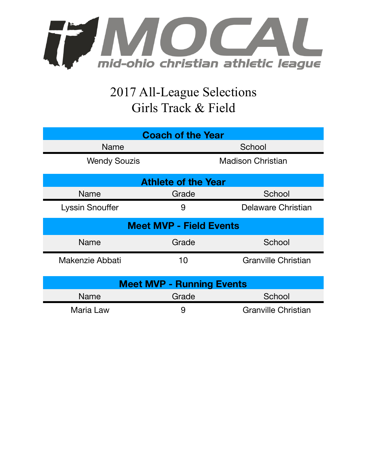

## 2017 All-League Selections Girls Track & Field

| <b>Coach of the Year</b>         |       |                            |  |  |  |
|----------------------------------|-------|----------------------------|--|--|--|
| <b>Name</b>                      |       | School                     |  |  |  |
| <b>Wendy Souzis</b>              |       | <b>Madison Christian</b>   |  |  |  |
| <b>Athlete of the Year</b>       |       |                            |  |  |  |
| Name                             | Grade | School                     |  |  |  |
| <b>Lyssin Snouffer</b>           | 9     | Delaware Christian         |  |  |  |
| <b>Meet MVP - Field Events</b>   |       |                            |  |  |  |
| <b>Name</b>                      | Grade | School                     |  |  |  |
| Makenzie Abbati                  | 10    | <b>Granville Christian</b> |  |  |  |
| <b>Meet MVP - Running Events</b> |       |                            |  |  |  |
| Name                             | Grade | School                     |  |  |  |
| Maria Law                        | 9     | <b>Granville Christian</b> |  |  |  |